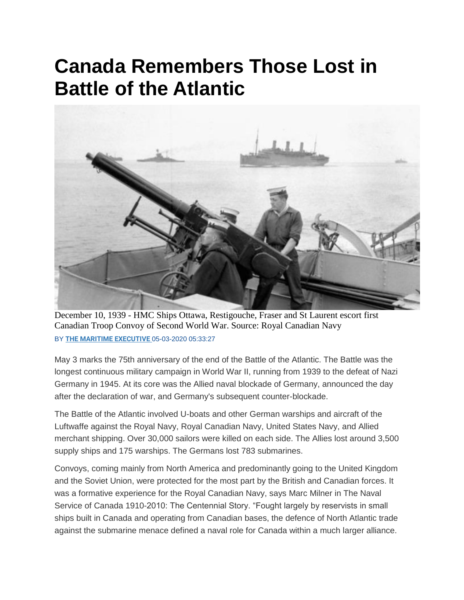## **Canada Remembers Those Lost in Battle of the Atlantic**



December 10, 1939 - HMC Ships Ottawa, Restigouche, Fraser and St Laurent escort first Canadian Troop Convoy of Second World War. Source: Royal Canadian Navy BY **[THE MARITIME EXECUTIVE](https://www.maritime-executive.com/author/marex)** 05-03-2020 05:33:27

May 3 marks the 75th anniversary of the end of the Battle of the Atlantic. The Battle was the longest continuous military campaign in World War II, running from 1939 to the defeat of Nazi Germany in 1945. At its core was the Allied naval blockade of Germany, announced the day after the declaration of war, and Germany's subsequent counter-blockade.

The Battle of the Atlantic involved U-boats and other German warships and aircraft of the Luftwaffe against the Royal Navy, Royal Canadian Navy, United States Navy, and Allied merchant shipping. Over 30,000 sailors were killed on each side. The Allies lost around 3,500 supply ships and 175 warships. The Germans lost 783 submarines.

Convoys, coming mainly from North America and predominantly going to the United Kingdom and the Soviet Union, were protected for the most part by the British and Canadian forces. It was a formative experience for the Royal Canadian Navy, says Marc Milner in The Naval Service of Canada 1910-2010: The Centennial Story. "Fought largely by reservists in small ships built in Canada and operating from Canadian bases, the defence of North Atlantic trade against the submarine menace defined a naval role for Canada within a much larger alliance.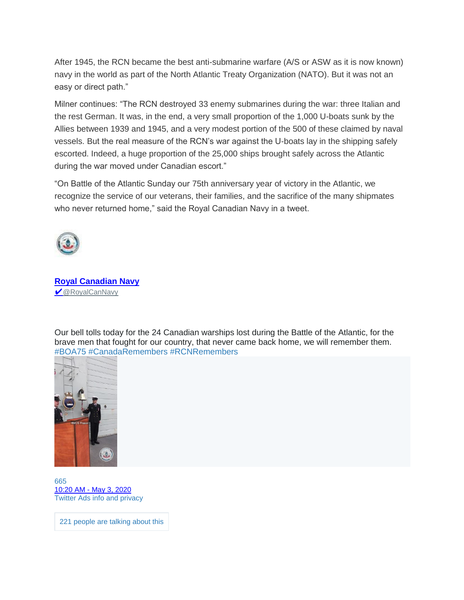After 1945, the RCN became the best anti-submarine warfare (A/S or ASW as it is now known) navy in the world as part of the North Atlantic Treaty Organization (NATO). But it was not an easy or direct path."

Milner continues: "The RCN destroyed 33 enemy submarines during the war: three Italian and the rest German. It was, in the end, a very small proportion of the 1,000 U-boats sunk by the Allies between 1939 and 1945, and a very modest portion of the 500 of these claimed by naval vessels. But the real measure of the RCN's war against the U-boats lay in the shipping safely escorted. Indeed, a huge proportion of the 25,000 ships brought safely across the Atlantic during the war moved under Canadian escort."

"On Battle of the Atlantic Sunday our 75th anniversary year of victory in the Atlantic, we recognize the service of our veterans, their families, and the sacrifice of the many shipmates who never returned home," said the Royal Canadian Navy in a tweet.



**[Royal Canadian Navy](https://twitter.com/RoyalCanNavy) ✔ [@RoyalCanNavy](https://twitter.com/RoyalCanNavy)** 

Our bell tolls today for the 24 Canadian warships lost during the Battle of the Atlantic, for the brave men that fought for our country, that never came back home, we will remember them. [#BOA75](https://twitter.com/hashtag/BOA75?src=hash) [#CanadaRemembers](https://twitter.com/hashtag/CanadaRemembers?src=hash) [#RCNRemembers](https://twitter.com/hashtag/RCNRemembers?src=hash)



[665](https://twitter.com/intent/like?tweet_id=1256966746172387333) 10:20 AM - [May 3, 2020](https://twitter.com/RoyalCanNavy/status/1256966746172387333) [Twitter Ads info and privacy](https://support.twitter.com/articles/20175256)

221 [people](https://twitter.com/RoyalCanNavy/status/1256966746172387333) are talking about this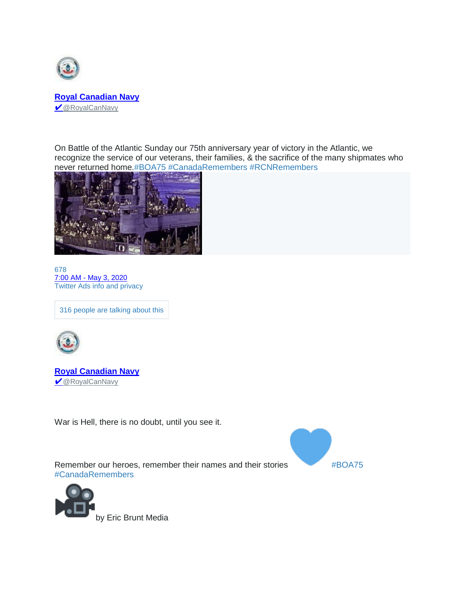

On Battle of the Atlantic Sunday our 75th anniversary year of victory in the Atlantic, we recognize the service of our veterans, their families, & the sacrifice of the many shipmates who never returned home[.#BOA75](https://twitter.com/hashtag/BOA75?src=hash) [#CanadaRemembers](https://twitter.com/hashtag/CanadaRemembers?src=hash) [#RCNRemembers](https://twitter.com/hashtag/RCNRemembers?src=hash)



[678](https://twitter.com/intent/like?tweet_id=1256916414746804224) 7:00 AM - [May 3, 2020](https://twitter.com/RoyalCanNavy/status/1256916414746804224) [Twitter Ads info and privacy](https://support.twitter.com/articles/20175256)

316 [people](https://twitter.com/RoyalCanNavy/status/1256916414746804224) are talking about this



**[Royal Canadian Navy](https://twitter.com/RoyalCanNavy)** ✔ [@RoyalCanNavy](https://twitter.com/RoyalCanNavy)

War is Hell, there is no doubt, until you see it.

Remember our heroes, remember their names and their stories [#BOA75](https://twitter.com/hashtag/BOA75?src=hash) [#CanadaRemembers](https://twitter.com/hashtag/CanadaRemembers?src=hash)